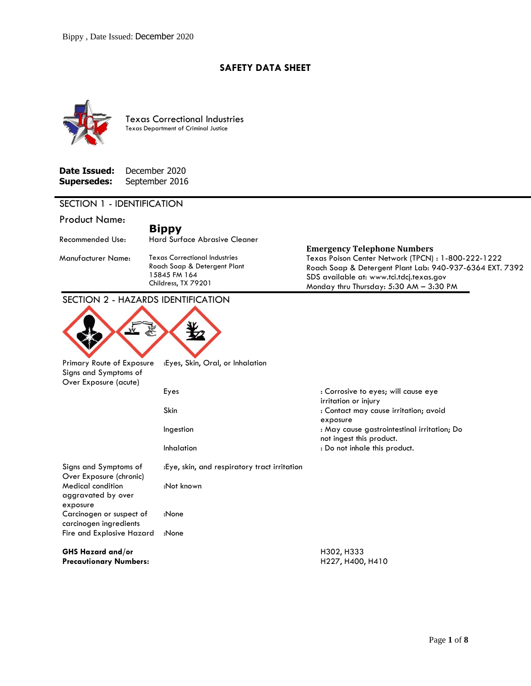# **SAFETY DATA SHEET**



Texas Correctional Industries Texas Department of Criminal Justice

| Date Issued: | December 2020  |
|--------------|----------------|
| Supersedes:  | September 2016 |

#### SECTION 1 - IDENTIFICATION

#### Product Name:

|                    | <b>Bippy</b>                                                                                                |
|--------------------|-------------------------------------------------------------------------------------------------------------|
| Recommended Use:   | Hard Surface Abrasive Cleaner                                                                               |
| Manufacturer Name: | <b>Texas Correctional Industries</b><br>Roach Soap & Detergent Plant<br>15845 FM 164<br>Childress, TX 79201 |

SECTION 2 - HAZARDS IDENTIFICATION



Inhalation : Do not inhale this product.

**Emergency Telephone Numbers**

SDS available at: www.tci.tdcj.texas.gov Monday thru Thursday: 5:30 AM – 3:30 PM

Texas Poison Center Network (TPCN) : 1-800-222-1222 Roach Soap & Detergent Plant Lab: 940-937-6364 EXT. 7392

Signs and Symptoms of Over Exposure (chronic) :Eye, skin, and respiratory tract irritation Medical condition aggravated by over exposure :Not known Carcinogen or suspect of carcinogen ingredients :None Fire and Explosive Hazard :None

**GHS Hazard and/or Precautionary Numbers:**

H302, H333 H227, H400, H410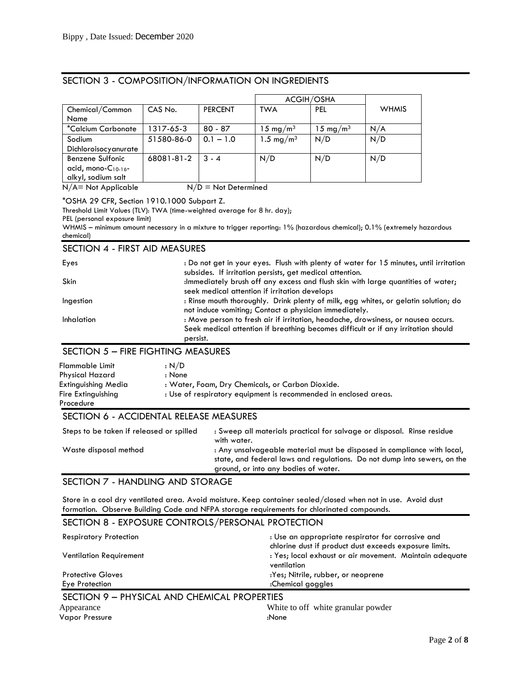# SECTION 3 - COMPOSITION/INFORMATION ON INGREDIENTS

|                           |            |                | <b>ACGIH/OSHA</b>     |                      |              |
|---------------------------|------------|----------------|-----------------------|----------------------|--------------|
| Chemical/Common           | CAS No.    | <b>PERCENT</b> | <b>TWA</b>            | PEL                  | <b>WHMIS</b> |
| Name                      |            |                |                       |                      |              |
| <i>*Calcium Carbonate</i> | 1317-65-3  | $80 - 87$      | 15 mg/m <sup>3</sup>  | 15 mg/m <sup>3</sup> | N/A          |
| Sodium                    | 51580-86-0 | $0.1 - 1.0$    | 1.5 mg/m <sup>3</sup> | N/D                  | N/D          |
| Dichloroisocyanurate      |            |                |                       |                      |              |
| Benzene Sulfonic          | 68081-81-2 | $3 - 4$        | N/D                   | N/D                  | N/D          |
| acid, mono- $C_{10-16}$ - |            |                |                       |                      |              |
| alkyl, sodium salt        |            |                |                       |                      |              |

 $N/A$  = Not Applicable  $N/D$  = Not Determined

#### \*OSHA 29 CFR, Section 1910.1000 Subpart Z.

Threshold Limit Values (TLV): TWA (time-weighted average for 8 hr. day);

PEL (personal exposure limit)

WHMIS – minimum amount necessary in a mixture to trigger reporting: 1% (hazardous chemical); 0.1% (extremely hazardous chemical)

#### SECTION 4 - FIRST AID MEASURES

| Eyes       | : Do not get in your eyes. Flush with plenty of water for 15 minutes, until irritation                                                       |
|------------|----------------------------------------------------------------------------------------------------------------------------------------------|
|            | subsides. If irritation persists, get medical attention.                                                                                     |
| Skin       | : Immediately brush off any excess and flush skin with large quantities of water:<br>seek medical attention if irritation develops           |
| Ingestion  | : Rinse mouth thoroughly. Drink plenty of milk, egg whites, or gelatin solution; do<br>not induce vomiting; Contact a physician immediately. |
| Inhalation | : Move person to fresh air if irritation, headache, drowsiness, or nausea occurs.                                                            |
|            | Seek medical attention if breathing becomes difficult or if any irritation should                                                            |
|            | persist.                                                                                                                                     |

#### SECTION 5 – FIRE FIGHTING MEASURES

| Flammable Limit<br>Physical Hazard | : N/D<br>: None                                                  |  |
|------------------------------------|------------------------------------------------------------------|--|
| Extinguishing Media                | : Water, Foam, Dry Chemicals, or Carbon Dioxide.                 |  |
| Fire Extinguishing                 | : Use of respiratory equipment is recommended in enclosed areas. |  |
| Procedure                          |                                                                  |  |
|                                    | SECTION 6 - ACCIDENTAL RELEASE MEASURES                          |  |

| Steps to be taken if released or spilled | : Sweep all materials practical for salvage or disposal. Rinse residue                                                                              |  |
|------------------------------------------|-----------------------------------------------------------------------------------------------------------------------------------------------------|--|
|                                          | with water.                                                                                                                                         |  |
| Waste disposal method                    | : Any unsalvageable material must be disposed in compliance with local,<br>state, and federal laws and regulations. Do not dump into sewers, on the |  |
|                                          | ground, or into any bodies of water.                                                                                                                |  |

# SECTION 7 - HANDLING AND STORAGE

Store in a cool dry ventilated area. Avoid moisture. Keep container sealed/closed when not in use. Avoid dust formation. Observe Building Code and NFPA storage requirements for chlorinated compounds.

### SECTION 8 - EXPOSURE CONTROLS/PERSONAL PROTECTION

| <b>Respiratory Protection</b>                | : Use an appropriate respirator for corrosive and<br>chlorine dust if product dust exceeds exposure limits. |
|----------------------------------------------|-------------------------------------------------------------------------------------------------------------|
| <b>Ventilation Requirement</b>               | : Yes; local exhaust or air movement. Maintain adequate<br>ventilation                                      |
| <b>Protective Gloves</b>                     | :Yes; Nitrile, rubber, or neoprene                                                                          |
| Eye Protection                               | :Chemical goggles                                                                                           |
| SECTION 9 - PHYSICAL AND CHEMICAL PROPERTIES |                                                                                                             |
| Appearance                                   | White to off white granular powder                                                                          |
| <b>Vapor Pressure</b>                        | :None                                                                                                       |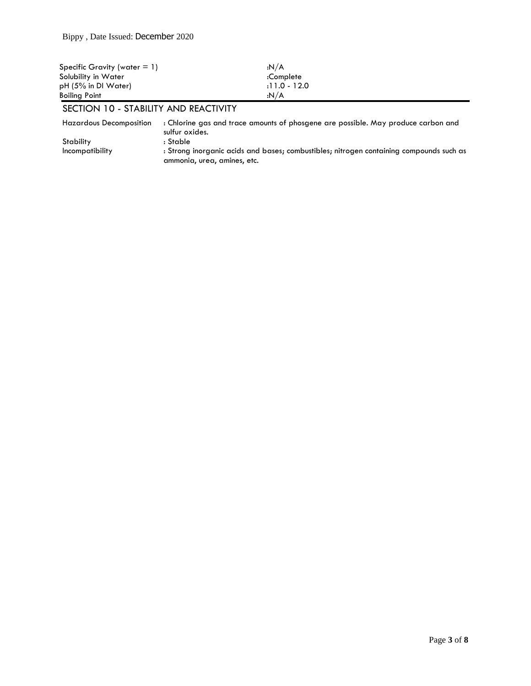# Bippy , Date Issued: December 2020

| Specific Gravity (water $= 1$ )     | :N/A            |
|-------------------------------------|-----------------|
| Solubility in Water                 | :Complete       |
| pH (5% in DI Water)                 | $: 11.0 - 12.0$ |
| <b>Boiling Point</b>                | :N/A            |
| CECTION 10 CTADILITY AND DEACTIVITY |                 |

#### SECTION 10 - STABILITY AND REACTIVITY

| Hazardous Decomposition | : Chlorine gas and trace amounts of phosgene are possible. May produce carbon and<br>sulfur oxides.                    |
|-------------------------|------------------------------------------------------------------------------------------------------------------------|
| Stability               | : Stable                                                                                                               |
| Incompatibility         | : Strong inorganic acids and bases; combustibles; nitrogen containing compounds such as<br>ammonia, urea, amines, etc. |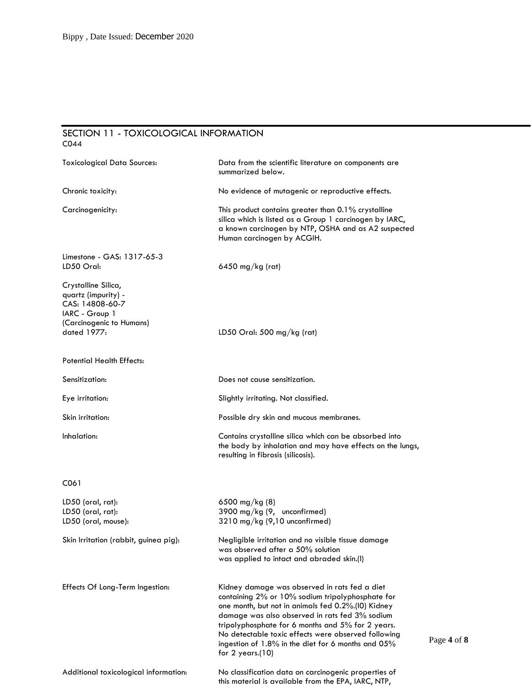#### SECTION 11 - TOXICOLOGICAL INFORMATION C044

| <b>Toxicological Data Sources:</b>                                                                                         | Data from the scientific literature on components are<br>summarized below.                                                                                                                                                                                                                                                                                                                           |             |
|----------------------------------------------------------------------------------------------------------------------------|------------------------------------------------------------------------------------------------------------------------------------------------------------------------------------------------------------------------------------------------------------------------------------------------------------------------------------------------------------------------------------------------------|-------------|
| Chronic toxicity:                                                                                                          | No evidence of mutagenic or reproductive effects.                                                                                                                                                                                                                                                                                                                                                    |             |
| Carcinogenicity:                                                                                                           | This product contains greater than 0.1% crystalline<br>silica which is listed as a Group 1 carcinogen by IARC,<br>a known carcinogen by NTP, OSHA and as A2 suspected<br>Human carcinogen by ACGIH.                                                                                                                                                                                                  |             |
| Limestone - GAS: 1317-65-3<br>LD50 Oral:                                                                                   | $6450$ mg/kg (rat)                                                                                                                                                                                                                                                                                                                                                                                   |             |
| Crystalline Silica,<br>quartz (impurity) -<br>CAS: 14808-60-7<br>IARC - Group 1<br>(Carcinogenic to Humans)<br>dated 1977: | LD50 Oral: 500 mg/kg (rat)                                                                                                                                                                                                                                                                                                                                                                           |             |
| <b>Potential Health Effects:</b>                                                                                           |                                                                                                                                                                                                                                                                                                                                                                                                      |             |
| Sensitization:                                                                                                             | Does not cause sensitization.                                                                                                                                                                                                                                                                                                                                                                        |             |
| Eye irritation:                                                                                                            | Slightly irritating. Not classified.                                                                                                                                                                                                                                                                                                                                                                 |             |
| Skin irritation:                                                                                                           | Possible dry skin and mucous membranes.                                                                                                                                                                                                                                                                                                                                                              |             |
| Inhalation:                                                                                                                | Contains crystalline silica which can be absorbed into<br>the body by inhalation and may have effects on the lungs,<br>resulting in fibrosis (silicosis).                                                                                                                                                                                                                                            |             |
| C <sub>061</sub>                                                                                                           |                                                                                                                                                                                                                                                                                                                                                                                                      |             |
| LD50 (oral, rat):<br>LD50 (oral, rat):<br>LD50 (oral, mouse):                                                              | 6500 mg/kg $(8)$<br>$3900 \text{ mg/kg}$ (9, unconfirmed)<br>3210 mg/kg (9,10 unconfirmed)                                                                                                                                                                                                                                                                                                           |             |
| Skin Irritation (rabbit, guinea pig):                                                                                      | Negligible irritation and no visible tissue damage<br>was observed after a 50% solution<br>was applied to intact and abraded skin.(I)                                                                                                                                                                                                                                                                |             |
| Effects Of Long-Term Ingestion:                                                                                            | Kidney damage was observed in rats fed a diet<br>containing 2% or 10% sodium tripolyphosphate for<br>one month, but not in animals fed 0.2%.(I0) Kidney<br>damage was also observed in rats fed 3% sodium<br>tripolyphosphate for 6 months and 5% for 2 years.<br>No detectable toxic effects were observed following<br>ingestion of $1.8\%$ in the diet for 6 months and 05%<br>for $2$ years.(10) | Page 4 of 8 |
| Additional toxicological information:                                                                                      | No classification data on carcinogenic properties of                                                                                                                                                                                                                                                                                                                                                 |             |

this material is available from the EPA, IARC, NTP,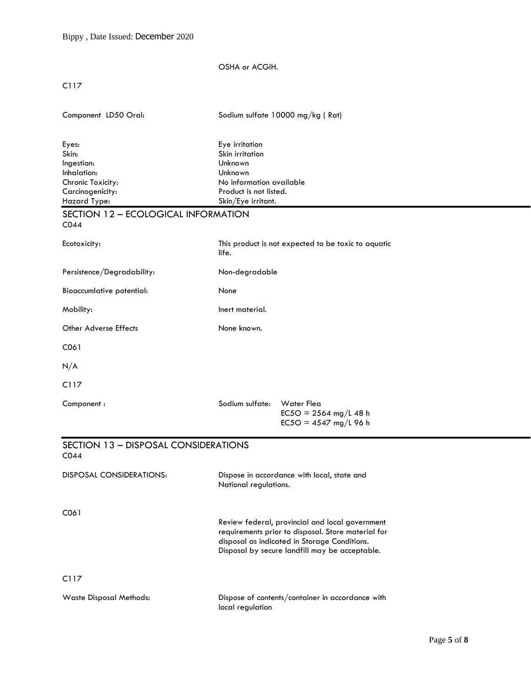OSHA or ACGIH.

#### C117

| Component LD50 Oral:                                                                                 | Sodium sulfate 10000 mg/kg (Rat)                                                                                                                                                                        |  |
|------------------------------------------------------------------------------------------------------|---------------------------------------------------------------------------------------------------------------------------------------------------------------------------------------------------------|--|
| Eyes:<br>Skin:<br>Ingestion:<br>Inhalation:<br>Chronic Toxicity:<br>Carcinogenicity:<br>Hazard Type: | Eye irritation<br>Skin irritation<br>Unknown<br>Unknown<br>No information available<br>Product is not listed.<br>Skin/Eye irritant.                                                                     |  |
| SECTION 12 - ECOLOGICAL INFORMATION<br>CO <sub>44</sub>                                              |                                                                                                                                                                                                         |  |
| Ecotoxicity:                                                                                         | This product is not expected to be toxic to aquatic<br>life.                                                                                                                                            |  |
| Persistence/Degradability:                                                                           | Non-degradable                                                                                                                                                                                          |  |
| <b>Bioaccumlative potential:</b>                                                                     | None                                                                                                                                                                                                    |  |
| Mobility:                                                                                            | lnert material.                                                                                                                                                                                         |  |
| <b>Other Adverse Effects</b>                                                                         | None known.                                                                                                                                                                                             |  |
| C061                                                                                                 |                                                                                                                                                                                                         |  |
| N/A                                                                                                  |                                                                                                                                                                                                         |  |
| C117                                                                                                 |                                                                                                                                                                                                         |  |
| Component :                                                                                          | Sodium sulfate:<br>Water Flea<br>$EC5O = 2564$ mg/L 48 h<br>$EC5O = 4547$ mg/L 96 h                                                                                                                     |  |
| SECTION 13 - DISPOSAL CONSIDERATIONS<br>CO <sub>44</sub>                                             |                                                                                                                                                                                                         |  |
| <b>DISPOSAL CONSIDERATIONS:</b>                                                                      | Dispose in accordance with local, state and<br>National regulations.                                                                                                                                    |  |
| C061                                                                                                 | Review federal, provincial and local government<br>requirements prior to disposal. Store material for<br>disposal as indicated in Storage Conditions.<br>Disposal by secure landfill may be acceptable. |  |
| C117                                                                                                 |                                                                                                                                                                                                         |  |
| Waste Disposal Methods:                                                                              | Dispose of contents/container in accordance with<br>local regulation                                                                                                                                    |  |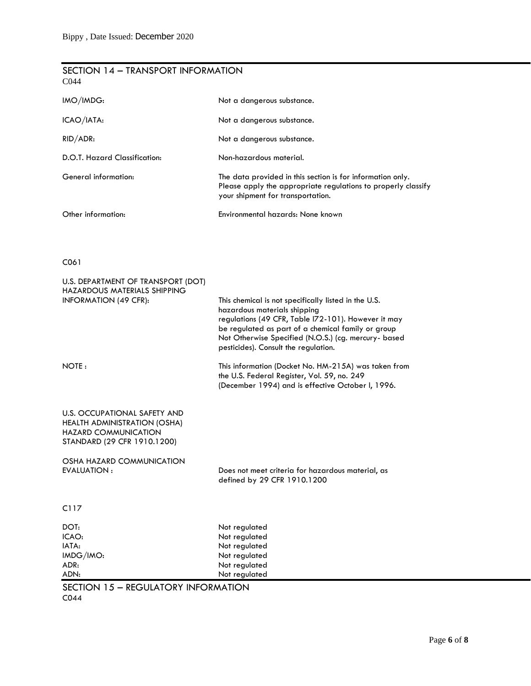|      |  | SECTION 14 - TRANSPORT INFORMATION |
|------|--|------------------------------------|
| C044 |  |                                    |

| IMO/IMDG                      | Not a dangerous substance.                                                                                                                                       |
|-------------------------------|------------------------------------------------------------------------------------------------------------------------------------------------------------------|
| $ICAO/IATA$ :                 | Not a dangerous substance.                                                                                                                                       |
| RID/ADR                       | Not a dangerous substance.                                                                                                                                       |
| D.O.T. Hazard Classification: | Non-hazardous material.                                                                                                                                          |
| General information:          | The data provided in this section is for information only.<br>Please apply the appropriate regulations to properly classify<br>your shipment for transportation. |
| Other information:            | Environmental hazards: None known                                                                                                                                |

C061

| U.S. DEPARTMENT OF TRANSPORT (DOT)<br><b>HAZARDOUS MATERIALS SHIPPING</b>                                                  |                                                                                                                                                                                                                                                                                                   |  |
|----------------------------------------------------------------------------------------------------------------------------|---------------------------------------------------------------------------------------------------------------------------------------------------------------------------------------------------------------------------------------------------------------------------------------------------|--|
| <b>INFORMATION (49 CFR):</b>                                                                                               | This chemical is not specifically listed in the U.S.<br>hazardous materials shipping<br>regulations (49 CFR, Table I72-101). However it may<br>be regulated as part of a chemical family or group<br>Not Otherwise Specified (N.O.S.) (cg. mercury- based<br>pesticides). Consult the regulation. |  |
| NOTE:                                                                                                                      | This information (Docket No. HM-215A) was taken from<br>the U.S. Federal Register, Vol. 59, no. 249<br>(December 1994) and is effective October I, 1996.                                                                                                                                          |  |
| U.S. OCCUPATIONAL SAFETY AND<br>HEALTH ADMINISTRATION (OSHA)<br><b>HAZARD COMMUNICATION</b><br>STANDARD (29 CFR 1910.1200) |                                                                                                                                                                                                                                                                                                   |  |
| OSHA HAZARD COMMUNICATION                                                                                                  |                                                                                                                                                                                                                                                                                                   |  |
| EVALUATION:                                                                                                                | Does not meet criteria for hazardous material, as<br>defined by 29 CFR 1910.1200                                                                                                                                                                                                                  |  |
| C117                                                                                                                       |                                                                                                                                                                                                                                                                                                   |  |
| DOT:                                                                                                                       | Not regulated                                                                                                                                                                                                                                                                                     |  |
| ICAO:                                                                                                                      | Not regulated                                                                                                                                                                                                                                                                                     |  |
| IATA:                                                                                                                      | Not regulated                                                                                                                                                                                                                                                                                     |  |
| IMDG/IMO:                                                                                                                  | Not regulated                                                                                                                                                                                                                                                                                     |  |
| ADR:                                                                                                                       | Not regulated                                                                                                                                                                                                                                                                                     |  |
| ADN:                                                                                                                       | Not regulated                                                                                                                                                                                                                                                                                     |  |
| SECTION 15 - REGULATORY INFORMATION                                                                                        |                                                                                                                                                                                                                                                                                                   |  |

C044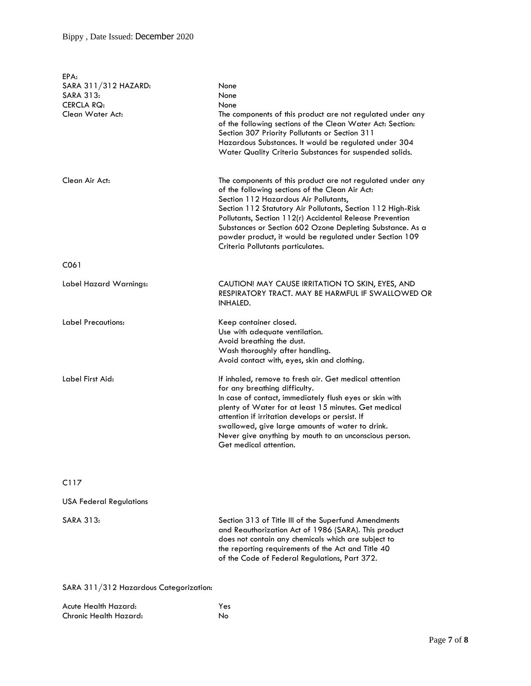| EPA:                           |                                                                                                                                                                                                                                                                                                                                                                                                                                                |
|--------------------------------|------------------------------------------------------------------------------------------------------------------------------------------------------------------------------------------------------------------------------------------------------------------------------------------------------------------------------------------------------------------------------------------------------------------------------------------------|
| SARA 311/312 HAZARD:           | None                                                                                                                                                                                                                                                                                                                                                                                                                                           |
| <b>SARA 313:</b>               | None                                                                                                                                                                                                                                                                                                                                                                                                                                           |
| <b>CERCLA RQ:</b>              | None                                                                                                                                                                                                                                                                                                                                                                                                                                           |
| Clean Water Act:               | The components of this product are not regulated under any<br>of the following sections of the Clean Water Act: Section:<br>Section 307 Priority Pollutants or Section 311<br>Hazardous Substances. It would be regulated under 304<br>Water Quality Criteria Substances for suspended solids.                                                                                                                                                 |
| Clean Air Act:                 | The components of this product are not regulated under any<br>of the following sections of the Clean Air Act:<br>Section 112 Hazardous Air Pollutants,<br>Section 112 Statutory Air Pollutants, Section 112 High-Risk<br>Pollutants, Section 112(r) Accidental Release Prevention<br>Substances or Section 602 Ozone Depleting Substance. As a<br>powder product, it would be regulated under Section 109<br>Criteria Pollutants particulates. |
| C <sub>06</sub> 1              |                                                                                                                                                                                                                                                                                                                                                                                                                                                |
| Label Hazard Warnings:         | CAUTION! MAY CAUSE IRRITATION TO SKIN, EYES, AND<br>RESPIRATORY TRACT. MAY BE HARMFUL IF SWALLOWED OR<br><b>INHALED.</b>                                                                                                                                                                                                                                                                                                                       |
| Label Precautions:             | Keep container closed.                                                                                                                                                                                                                                                                                                                                                                                                                         |
|                                | Use with adequate ventilation.                                                                                                                                                                                                                                                                                                                                                                                                                 |
|                                | Avoid breathing the dust.                                                                                                                                                                                                                                                                                                                                                                                                                      |
|                                | Wash thoroughly after handling.                                                                                                                                                                                                                                                                                                                                                                                                                |
|                                | Avoid contact with, eyes, skin and clothing.                                                                                                                                                                                                                                                                                                                                                                                                   |
| Label First Aid:               | If inhaled, remove to fresh air. Get medical attention                                                                                                                                                                                                                                                                                                                                                                                         |
|                                | for any breathing difficulty.                                                                                                                                                                                                                                                                                                                                                                                                                  |
|                                | In case of contact, immediately flush eyes or skin with<br>plenty of Water for at least 15 minutes. Get medical                                                                                                                                                                                                                                                                                                                                |
|                                | attention if irritation develops or persist. If                                                                                                                                                                                                                                                                                                                                                                                                |
|                                | swallowed, give large amounts of water to drink.                                                                                                                                                                                                                                                                                                                                                                                               |
|                                | Never give anything by mouth to an unconscious person.                                                                                                                                                                                                                                                                                                                                                                                         |
|                                | Get medical attention.                                                                                                                                                                                                                                                                                                                                                                                                                         |
|                                |                                                                                                                                                                                                                                                                                                                                                                                                                                                |
| C117                           |                                                                                                                                                                                                                                                                                                                                                                                                                                                |
| <b>USA Federal Regulations</b> |                                                                                                                                                                                                                                                                                                                                                                                                                                                |
| SARA 313:                      | Section 313 of Title III of the Superfund Amendments                                                                                                                                                                                                                                                                                                                                                                                           |

and Reauthorization Act of 1986 (SARA). This product does not contain any chemicals which are subject to the reporting requirements of the Act and Title 40 of the Code of Federal Regulations, Part 372.

SARA 311/312 Hazardous Categorization:

| Acute Health Hazard:   | Yes |
|------------------------|-----|
| Chronic Health Hazard: | Nο  |